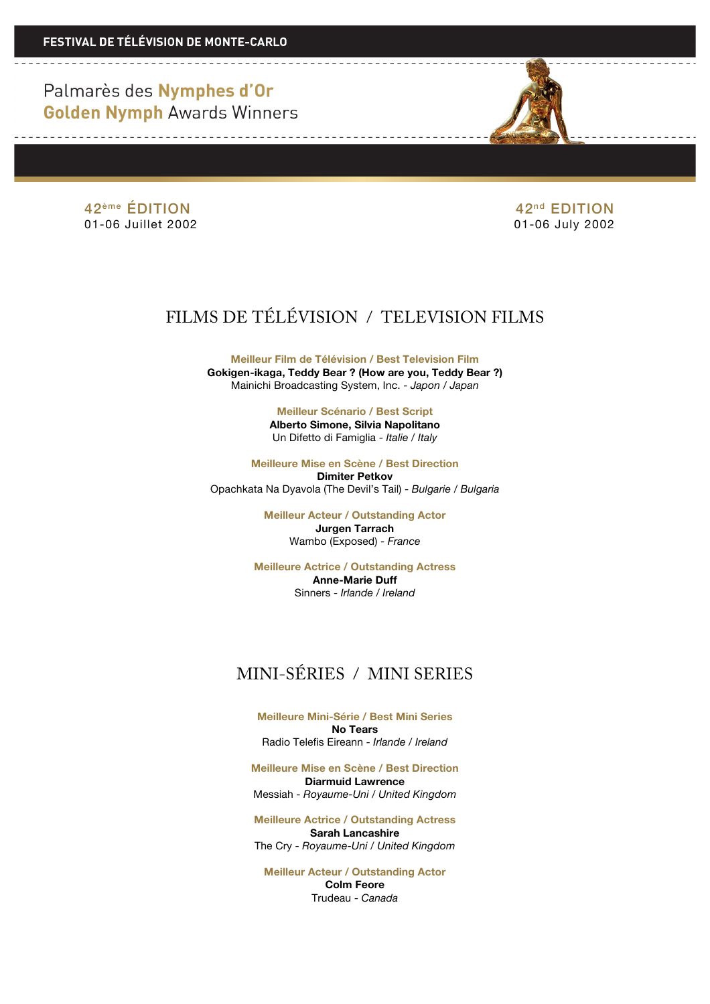

42<sup>ème</sup> ÉDITION 42<sup>ème</sup> ÉDITION 42<sup>ème</sup> ÉDITION 42<sup>ème</sup> ÉDITION

01-06 July 2002

# FILMS DE TÉLÉVISION / TELEVISION FILMS

**Meilleur Film de Télévision / Best Television Film Gokigen-ikaga, Teddy Bear ? (How are you, Teddy Bear ?)** Mainichi Broadcasting System, Inc. - *Japon / Japan*

> **Meilleur Scénario / Best Script Alberto Simone, Silvia Napolitano** Un Difetto di Famiglia - *Italie* / *Italy*

**Meilleure Mise en Scène / Best Direction Dimiter Petkov** Opachkata Na Dyavola (The Devil's Tail) - *Bulgarie* / *Bulgaria*

> **Meilleur Acteur / Outstanding Actor Jurgen Tarrach** Wambo (Exposed) - *France*

**Meilleure Actrice / Outstanding Actress Anne-Marie Duff** Sinners - *Irlande* / *Ireland*

# MINI-SÉRIES / MINI SERIES

**Meilleure Mini-Série / Best Mini Series No Tears** Radio Telefis Eireann - *Irlande* / *Ireland*

**Meilleure Mise en Scène / Best Direction Diarmuid Lawrence** Messiah - *Royaume-Uni / United Kingdom*

**Meilleure Actrice / Outstanding Actress Sarah Lancashire** The Cry - *Royaume-Uni / United Kingdom*

**Meilleur Acteur / Outstanding Actor Colm Feore** Trudeau - *Canada*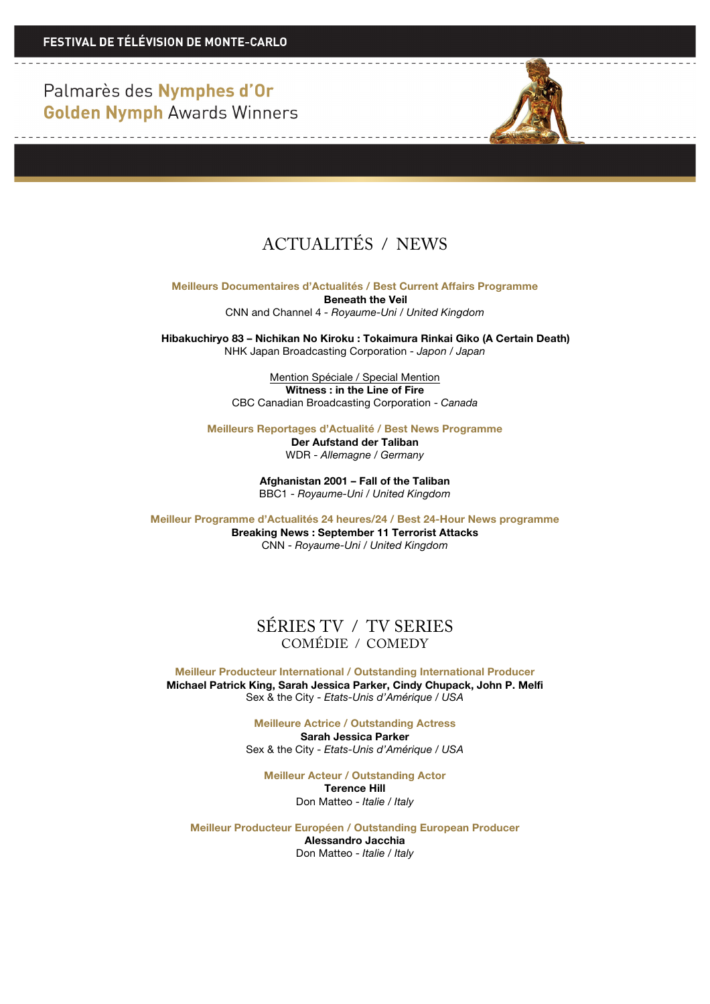<u> Die Berger von Die Berger von Die Be</u>

and the control of the control of the control of



**Meilleurs Documentaires d'Actualités / Best Current Affairs Programme**

**Beneath the Veil** CNN and Channel 4 *- Royaume-Uni / United Kingdom*

**Hibakuchiryo 83 – Nichikan No Kiroku : Tokaimura Rinkai Giko (A Certain Death)** NHK Japan Broadcasting Corporation - *Japon / Japan*

> Mention Spéciale / Special Mention **Witness : in the Line of Fire** CBC Canadian Broadcasting Corporation - *Canada*

**Meilleurs Reportages d'Actualité / Best News Programme**

**Der Aufstand der Taliban** WDR - *Allemagne / Germany*

**Afghanistan 2001 – Fall of the Taliban** BBC1 - *Royaume-Uni / United Kingdom*

**Meilleur Programme d'Actualités 24 heures/24 / Best 24-Hour News programme Breaking News : September 11 Terrorist Attacks** CNN - *Royaume-Uni / United Kingdom*

### SÉRIES TV / TV SERIES COMÉDIE / COMEDY

**Meilleur Producteur International / Outstanding International Producer Michael Patrick King, Sarah Jessica Parker, Cindy Chupack, John P. Melfi** Sex & the City - *Etats-Unis d'Amérique / USA*

> **Meilleure Actrice / Outstanding Actress Sarah Jessica Parker** Sex & the City - *Etats-Unis d'Amérique / USA*

**Meilleur Acteur / Outstanding Actor Terence Hill** Don Matteo - *Italie / Italy*

**Meilleur Producteur Européen / Outstanding European Producer Alessandro Jacchia** Don Matteo - *Italie / Italy*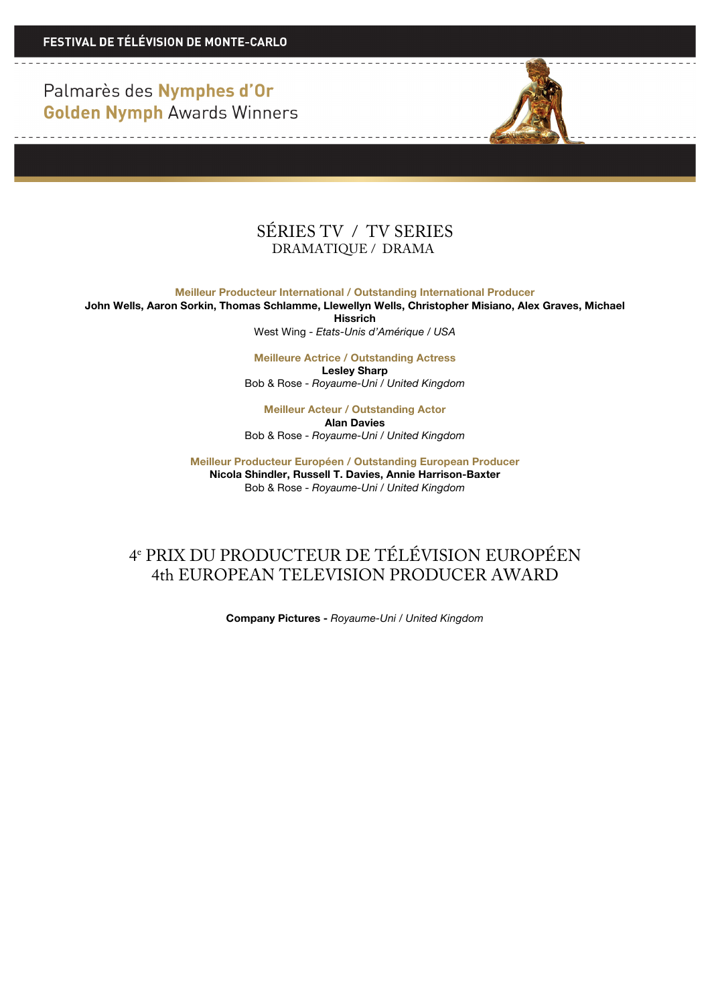

**Meilleur Producteur International / Outstanding International Producer John Wells, Aaron Sorkin, Thomas Schlamme, Llewellyn Wells, Christopher Misiano, Alex Graves, Michael** 

**Hissrich**

West Wing - *Etats-Unis d'Amérique / USA*

**Meilleure Actrice / Outstanding Actress Lesley Sharp** Bob & Rose - *Royaume-Uni / United Kingdom*

**Meilleur Acteur / Outstanding Actor Alan Davies** Bob & Rose - *Royaume-Uni / United Kingdom*

**Meilleur Producteur Européen / Outstanding European Producer Nicola Shindler, Russell T. Davies, Annie Harrison-Baxter** Bob & Rose - *Royaume-Uni / United Kingdom*

# 4e PRIX DU PRODUCTEUR DE TÉLÉVISION EUROPÉEN 4th EUROPEAN TELEVISION PRODUCER AWARD

**Company Pictures -** *Royaume-Uni / United Kingdom*